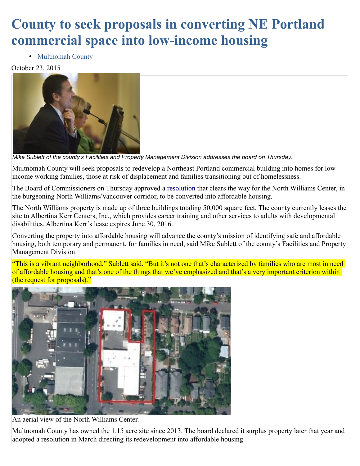## **County to seek proposals in converting NE Portland commercial space into low-income housing**

• [Multnomah County](https://multco.us/node/429)

## October 23, 2015



*Mike Sublett of the county's Facilities and Property Management Division addresses the board on Thursday.*

Multnomah County will seek proposals to redevelop a Northeast Portland commercial building into homes for lowincome working families, those at risk of displacement and families transitioning out of homelessness.

The Board of Commissioners on Thursday approved a [resolution](http://multnomah.granicus.com/MetaViewer.php?view_id=3&clip_id=1260&meta_id=80631) that clears the way for the North Williams Center, in the burgeoning North Williams/Vancouver corridor, to be converted into affordable housing.

The North Williams property is made up of three buildings totaling 50,000 square feet. The county currently leases the site to Albertina Kerr Centers, Inc., which provides career training and other services to adults with developmental disabilities. Albertina Kerr's lease expires June 30, 2016.

Converting the property into affordable housing will advance the county's mission of identifying safe and affordable housing, both temporary and permanent, for families in need, said Mike Sublett of the county's Facilities and Property Management Division.

"This is a vibrant neighborhood," Sublett said. "But it's not one that's characterized by families who are most in need of affordable housing and that's one of the things that we've emphasized and that's a very important criterion within (the request for proposals)."



An aerial view of the North Williams Center.

Multnomah County has owned the 1.15 acre site since 2013. The board declared it surplus property later that year and adopted a resolution in March directing its redevelopment into affordable housing.